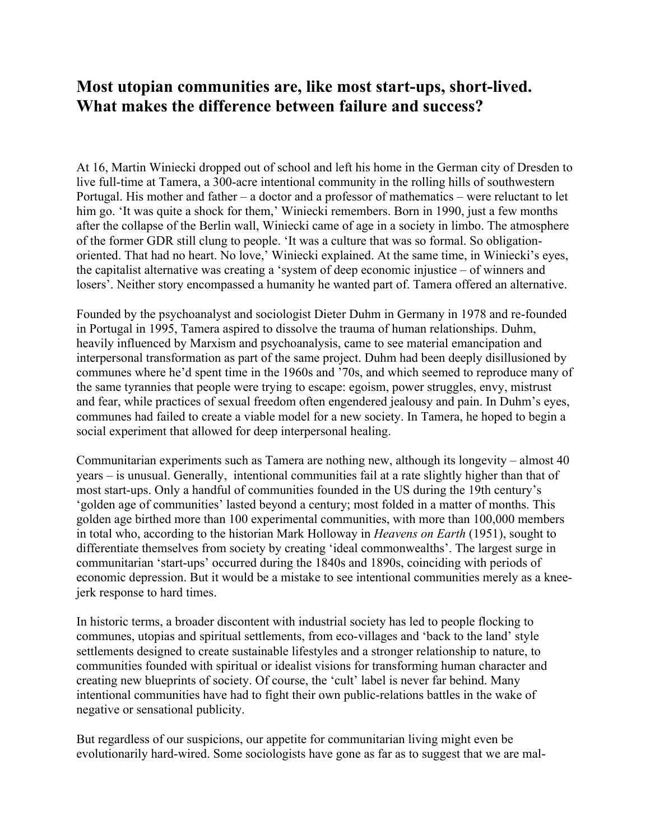## **Most utopian communities are, like most start-ups, short-lived. What makes the difference between failure and success?**

At 16, Martin Winiecki dropped out of school and left his home in the German city of Dresden to live full-time at Tamera, a 300-acre intentional community in the rolling hills of southwestern Portugal. His mother and father – a doctor and a professor of mathematics – were reluctant to let him go. 'It was quite a shock for them,' Winiecki remembers. Born in 1990, just a few months after the collapse of the Berlin wall, Winiecki came of age in a society in limbo. The atmosphere of the former GDR still clung to people. 'It was a culture that was so formal. So obligationoriented. That had no heart. No love,' Winiecki explained. At the same time, in Winiecki's eyes, the capitalist alternative was creating a 'system of deep economic injustice – of winners and losers'. Neither story encompassed a humanity he wanted part of. Tamera offered an alternative.

Founded by the psychoanalyst and sociologist Dieter Duhm in Germany in 1978 and re-founded in Portugal in 1995, Tamera aspired to dissolve the trauma of human relationships. Duhm, heavily influenced by Marxism and psychoanalysis, came to see material emancipation and interpersonal transformation as part of the same project. Duhm had been deeply disillusioned by communes where he'd spent time in the 1960s and '70s, and which seemed to reproduce many of the same tyrannies that people were trying to escape: egoism, power struggles, envy, mistrust and fear, while practices of sexual freedom often engendered jealousy and pain. In Duhm's eyes, communes had failed to create a viable model for a new society. In Tamera, he hoped to begin a social experiment that allowed for deep interpersonal healing.

Communitarian experiments such as Tamera are nothing new, although its longevity – almost 40 years – is unusual. Generally, intentional communities fail at a rate slightly higher than that of most start-ups. Only a handful of communities founded in the US during the 19th century's 'golden age of communities' lasted beyond a century; most folded in a matter of months. This golden age birthed more than 100 experimental communities, with more than 100,000 members in total who, according to the historian Mark Holloway in *Heavens on Earth* (1951), sought to differentiate themselves from society by creating 'ideal commonwealths'. The largest surge in communitarian 'start-ups' occurred during the 1840s and 1890s, coinciding with periods of economic depression. But it would be a mistake to see intentional communities merely as a kneejerk response to hard times.

In historic terms, a broader discontent with industrial society has led to people flocking to communes, utopias and spiritual settlements, from eco-villages and 'back to the land' style settlements designed to create sustainable lifestyles and a stronger relationship to nature, to communities founded with spiritual or idealist visions for transforming human character and creating new blueprints of society. Of course, the 'cult' label is never far behind. Many intentional communities have had to fight their own public-relations battles in the wake of negative or sensational publicity.

But regardless of our suspicions, our appetite for communitarian living might even be evolutionarily hard-wired. Some sociologists have gone as far as to suggest that we are mal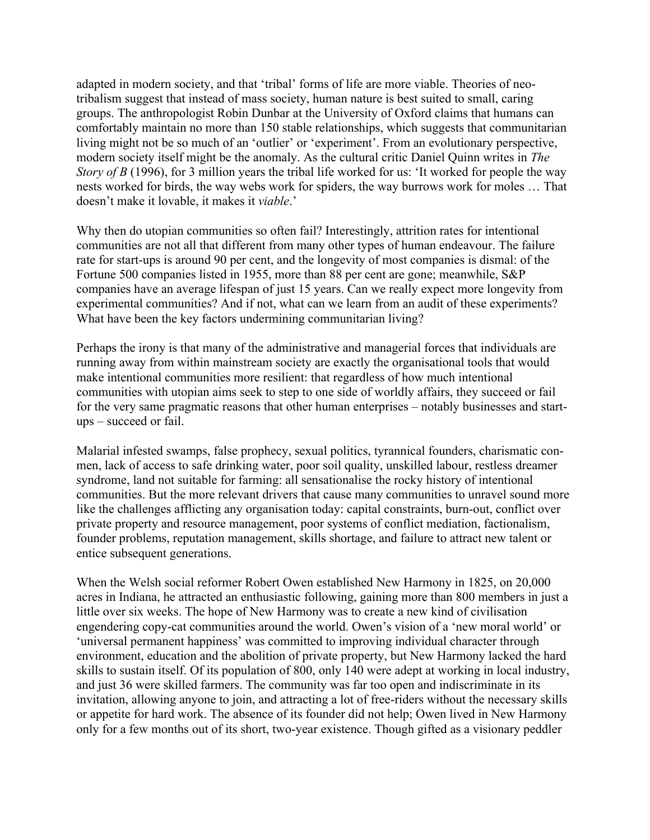adapted in modern society, and that 'tribal' forms of life are more viable. Theories of neotribalism suggest that instead of mass society, human nature is best suited to small, caring groups. The anthropologist Robin Dunbar at the University of Oxford claims that humans can comfortably maintain no more than 150 stable relationships, which suggests that communitarian living might not be so much of an 'outlier' or 'experiment'. From an evolutionary perspective, modern society itself might be the anomaly. As the cultural critic Daniel Quinn writes in *The Story of B* (1996), for 3 million years the tribal life worked for us: 'It worked for people the way nests worked for birds, the way webs work for spiders, the way burrows work for moles … That doesn't make it lovable, it makes it *viable*.'

Why then do utopian communities so often fail? Interestingly, attrition rates for intentional communities are not all that different from many other types of human endeavour. The failure rate for start-ups is around 90 per cent, and the longevity of most companies is dismal: of the Fortune 500 companies listed in 1955, more than 88 per cent are gone; meanwhile, S&P companies have an average lifespan of just 15 years. Can we really expect more longevity from experimental communities? And if not, what can we learn from an audit of these experiments? What have been the key factors undermining communitarian living?

Perhaps the irony is that many of the administrative and managerial forces that individuals are running away from within mainstream society are exactly the organisational tools that would make intentional communities more resilient: that regardless of how much intentional communities with utopian aims seek to step to one side of worldly affairs, they succeed or fail for the very same pragmatic reasons that other human enterprises – notably businesses and startups – succeed or fail.

Malarial infested swamps, false prophecy, sexual politics, tyrannical founders, charismatic conmen, lack of access to safe drinking water, poor soil quality, unskilled labour, restless dreamer syndrome, land not suitable for farming: all sensationalise the rocky history of intentional communities. But the more relevant drivers that cause many communities to unravel sound more like the challenges afflicting any organisation today: capital constraints, burn-out, conflict over private property and resource management, poor systems of conflict mediation, factionalism, founder problems, reputation management, skills shortage, and failure to attract new talent or entice subsequent generations.

When the Welsh social reformer Robert Owen established New Harmony in 1825, on 20,000 acres in Indiana, he attracted an enthusiastic following, gaining more than 800 members in just a little over six weeks. The hope of New Harmony was to create a new kind of civilisation engendering copy-cat communities around the world. Owen's vision of a 'new moral world' or 'universal permanent happiness' was committed to improving individual character through environment, education and the abolition of private property, but New Harmony lacked the hard skills to sustain itself. Of its population of 800, only 140 were adept at working in local industry, and just 36 were skilled farmers. The community was far too open and indiscriminate in its invitation, allowing anyone to join, and attracting a lot of free-riders without the necessary skills or appetite for hard work. The absence of its founder did not help; Owen lived in New Harmony only for a few months out of its short, two-year existence. Though gifted as a visionary peddler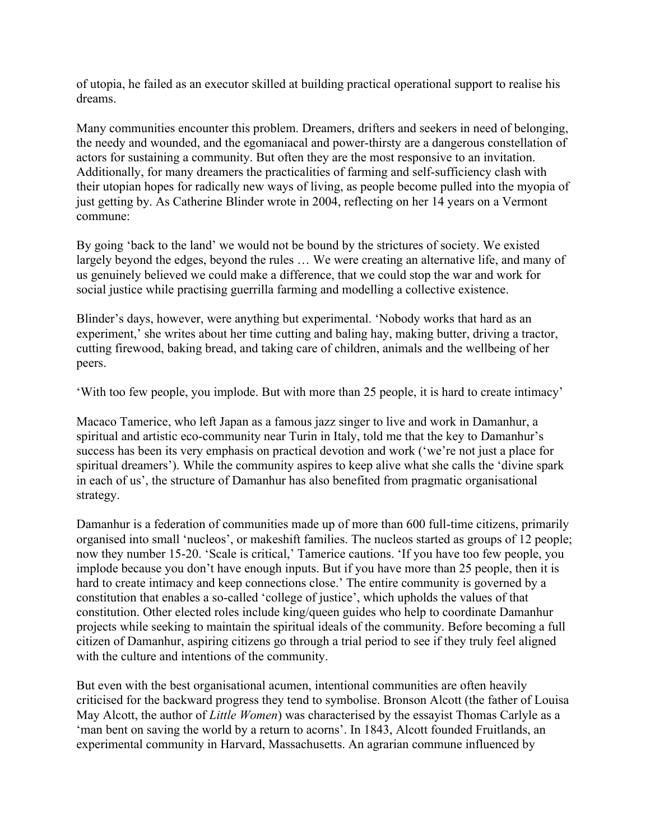of utopia, he failed as an executor skilled at building practical operational support to realise his dreams.

Many communities encounter this problem. Dreamers, drifters and seekers in need of belonging, the needy and wounded, and the egomaniacal and power-thirsty are a dangerous constellation of actors for sustaining a community. But often they are the most responsive to an invitation. Additionally, for many dreamers the practicalities of farming and self-sufficiency clash with their utopian hopes for radically new ways of living, as people become pulled into the myopia of just getting by. As Catherine Blinder wrote in 2004, reflecting on her 14 years on a Vermont commune:

By going 'back to the land' we would not be bound by the strictures of society. We existed largely beyond the edges, beyond the rules … We were creating an alternative life, and many of us genuinely believed we could make a difference, that we could stop the war and work for social justice while practising guerrilla farming and modelling a collective existence.

Blinder's days, however, were anything but experimental. 'Nobody works that hard as an experiment,' she writes about her time cutting and baling hay, making butter, driving a tractor, cutting firewood, baking bread, and taking care of children, animals and the wellbeing of her peers.

'With too few people, you implode. But with more than 25 people, it is hard to create intimacy'

Macaco Tamerice, who left Japan as a famous jazz singer to live and work in Damanhur, a spiritual and artistic eco-community near Turin in Italy, told me that the key to Damanhur's success has been its very emphasis on practical devotion and work ('we're not just a place for spiritual dreamers'). While the community aspires to keep alive what she calls the 'divine spark in each of us', the structure of Damanhur has also benefited from pragmatic organisational strategy.

Damanhur is a federation of communities made up of more than 600 full-time citizens, primarily organised into small 'nucleos', or makeshift families. The nucleos started as groups of 12 people; now they number 15-20. 'Scale is critical,' Tamerice cautions. 'If you have too few people, you implode because you don't have enough inputs. But if you have more than 25 people, then it is hard to create intimacy and keep connections close.' The entire community is governed by a constitution that enables a so-called 'college of justice', which upholds the values of that constitution. Other elected roles include king/queen guides who help to coordinate Damanhur projects while seeking to maintain the spiritual ideals of the community. Before becoming a full citizen of Damanhur, aspiring citizens go through a trial period to see if they truly feel aligned with the culture and intentions of the community.

But even with the best organisational acumen, intentional communities are often heavily criticised for the backward progress they tend to symbolise. Bronson Alcott (the father of Louisa May Alcott, the author of *Little Women*) was characterised by the essayist Thomas Carlyle as a 'man bent on saving the world by a return to acorns'. In 1843, Alcott founded Fruitlands, an experimental community in Harvard, Massachusetts. An agrarian commune influenced by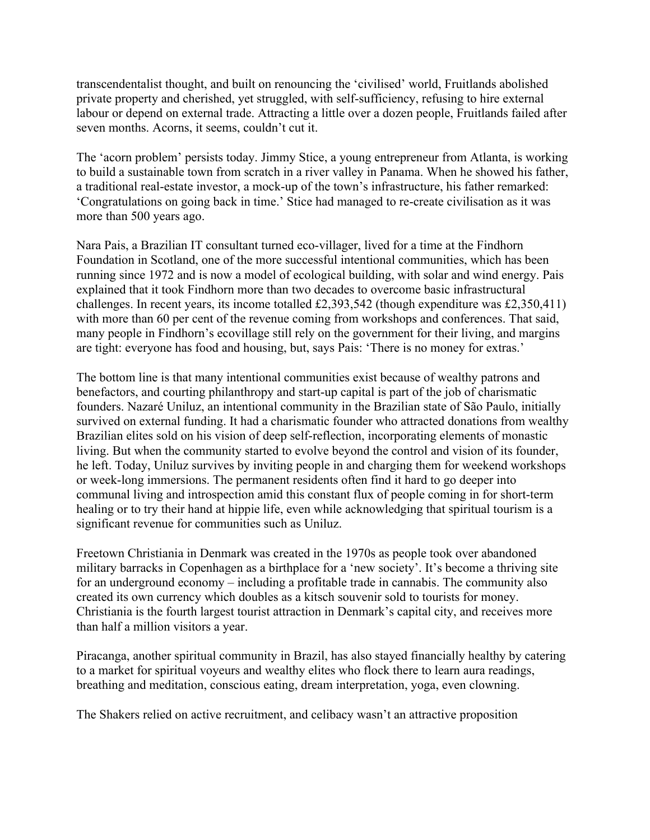transcendentalist thought, and built on renouncing the 'civilised' world, Fruitlands abolished private property and cherished, yet struggled, with self-sufficiency, refusing to hire external labour or depend on external trade. Attracting a little over a dozen people, Fruitlands failed after seven months. Acorns, it seems, couldn't cut it.

The 'acorn problem' persists today. Jimmy Stice, a young entrepreneur from Atlanta, is working to build a sustainable town from scratch in a river valley in Panama. When he showed his father, a traditional real-estate investor, a mock-up of the town's infrastructure, his father remarked: 'Congratulations on going back in time.' Stice had managed to re-create civilisation as it was more than 500 years ago.

Nara Pais, a Brazilian IT consultant turned eco-villager, lived for a time at the Findhorn Foundation in Scotland, one of the more successful intentional communities, which has been running since 1972 and is now a model of ecological building, with solar and wind energy. Pais explained that it took Findhorn more than two decades to overcome basic infrastructural challenges. In recent years, its income totalled £2,393,542 (though expenditure was £2,350,411) with more than 60 per cent of the revenue coming from workshops and conferences. That said, many people in Findhorn's ecovillage still rely on the government for their living, and margins are tight: everyone has food and housing, but, says Pais: 'There is no money for extras.'

The bottom line is that many intentional communities exist because of wealthy patrons and benefactors, and courting philanthropy and start-up capital is part of the job of charismatic founders. Nazaré Uniluz, an intentional community in the Brazilian state of São Paulo, initially survived on external funding. It had a charismatic founder who attracted donations from wealthy Brazilian elites sold on his vision of deep self-reflection, incorporating elements of monastic living. But when the community started to evolve beyond the control and vision of its founder, he left. Today, Uniluz survives by inviting people in and charging them for weekend workshops or week-long immersions. The permanent residents often find it hard to go deeper into communal living and introspection amid this constant flux of people coming in for short-term healing or to try their hand at hippie life, even while acknowledging that spiritual tourism is a significant revenue for communities such as Uniluz.

Freetown Christiania in Denmark was created in the 1970s as people took over abandoned military barracks in Copenhagen as a birthplace for a 'new society'. It's become a thriving site for an underground economy – including a profitable trade in cannabis. The community also created its own currency which doubles as a kitsch souvenir sold to tourists for money. Christiania is the fourth largest tourist attraction in Denmark's capital city, and receives more than half a million visitors a year.

Piracanga, another spiritual community in Brazil, has also stayed financially healthy by catering to a market for spiritual voyeurs and wealthy elites who flock there to learn aura readings, breathing and meditation, conscious eating, dream interpretation, yoga, even clowning.

The Shakers relied on active recruitment, and celibacy wasn't an attractive proposition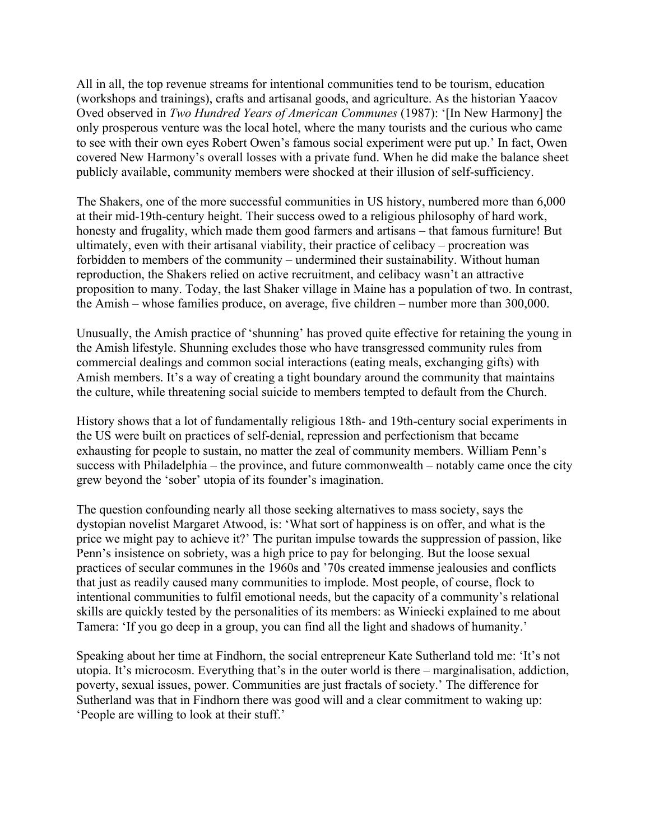All in all, the top revenue streams for intentional communities tend to be tourism, education (workshops and trainings), crafts and artisanal goods, and agriculture. As the historian Yaacov Oved observed in *Two Hundred Years of American Communes* (1987): '[In New Harmony] the only prosperous venture was the local hotel, where the many tourists and the curious who came to see with their own eyes Robert Owen's famous social experiment were put up.' In fact, Owen covered New Harmony's overall losses with a private fund. When he did make the balance sheet publicly available, community members were shocked at their illusion of self-sufficiency.

The Shakers, one of the more successful communities in US history, numbered more than 6,000 at their mid-19th-century height. Their success owed to a religious philosophy of hard work, honesty and frugality, which made them good farmers and artisans – that famous furniture! But ultimately, even with their artisanal viability, their practice of celibacy – procreation was forbidden to members of the community – undermined their sustainability. Without human reproduction, the Shakers relied on active recruitment, and celibacy wasn't an attractive proposition to many. Today, the last Shaker village in Maine has a population of two. In contrast, the Amish – whose families produce, on average, five children – number more than 300,000.

Unusually, the Amish practice of 'shunning' has proved quite effective for retaining the young in the Amish lifestyle. Shunning excludes those who have transgressed community rules from commercial dealings and common social interactions (eating meals, exchanging gifts) with Amish members. It's a way of creating a tight boundary around the community that maintains the culture, while threatening social suicide to members tempted to default from the Church.

History shows that a lot of fundamentally religious 18th- and 19th-century social experiments in the US were built on practices of self-denial, repression and perfectionism that became exhausting for people to sustain, no matter the zeal of community members. William Penn's success with Philadelphia – the province, and future commonwealth – notably came once the city grew beyond the 'sober' utopia of its founder's imagination.

The question confounding nearly all those seeking alternatives to mass society, says the dystopian novelist Margaret Atwood, is: 'What sort of happiness is on offer, and what is the price we might pay to achieve it?' The puritan impulse towards the suppression of passion, like Penn's insistence on sobriety, was a high price to pay for belonging. But the loose sexual practices of secular communes in the 1960s and '70s created immense jealousies and conflicts that just as readily caused many communities to implode. Most people, of course, flock to intentional communities to fulfil emotional needs, but the capacity of a community's relational skills are quickly tested by the personalities of its members: as Winiecki explained to me about Tamera: 'If you go deep in a group, you can find all the light and shadows of humanity.'

Speaking about her time at Findhorn, the social entrepreneur Kate Sutherland told me: 'It's not utopia. It's microcosm. Everything that's in the outer world is there – marginalisation, addiction, poverty, sexual issues, power. Communities are just fractals of society.' The difference for Sutherland was that in Findhorn there was good will and a clear commitment to waking up: 'People are willing to look at their stuff.'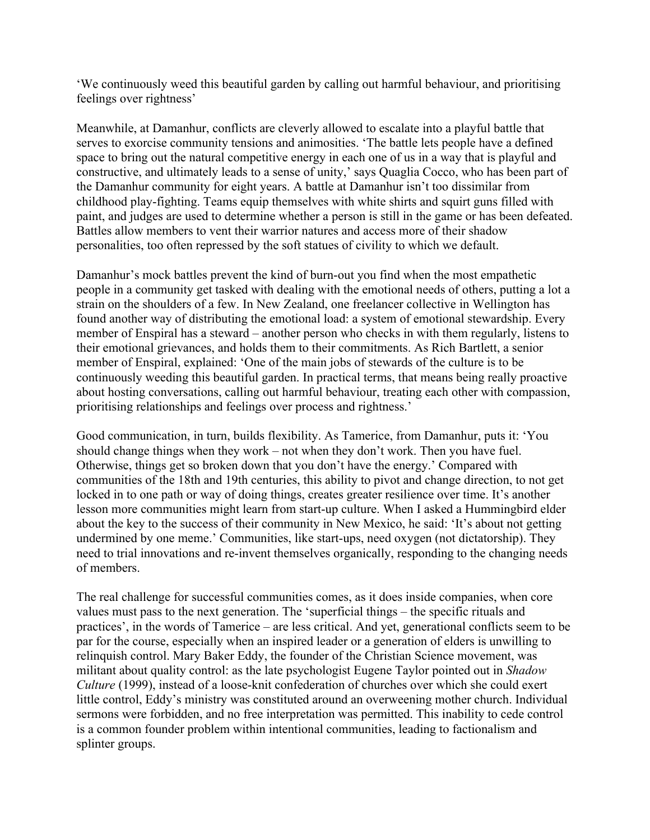'We continuously weed this beautiful garden by calling out harmful behaviour, and prioritising feelings over rightness'

Meanwhile, at Damanhur, conflicts are cleverly allowed to escalate into a playful battle that serves to exorcise community tensions and animosities. 'The battle lets people have a defined space to bring out the natural competitive energy in each one of us in a way that is playful and constructive, and ultimately leads to a sense of unity,' says Quaglia Cocco, who has been part of the Damanhur community for eight years. A battle at Damanhur isn't too dissimilar from childhood play-fighting. Teams equip themselves with white shirts and squirt guns filled with paint, and judges are used to determine whether a person is still in the game or has been defeated. Battles allow members to vent their warrior natures and access more of their shadow personalities, too often repressed by the soft statues of civility to which we default.

Damanhur's mock battles prevent the kind of burn-out you find when the most empathetic people in a community get tasked with dealing with the emotional needs of others, putting a lot a strain on the shoulders of a few. In New Zealand, one freelancer collective in Wellington has found another way of distributing the emotional load: a system of emotional stewardship. Every member of Enspiral has a steward – another person who checks in with them regularly, listens to their emotional grievances, and holds them to their commitments. As Rich Bartlett, a senior member of Enspiral, explained: 'One of the main jobs of stewards of the culture is to be continuously weeding this beautiful garden. In practical terms, that means being really proactive about hosting conversations, calling out harmful behaviour, treating each other with compassion, prioritising relationships and feelings over process and rightness.'

Good communication, in turn, builds flexibility. As Tamerice, from Damanhur, puts it: 'You should change things when they work – not when they don't work. Then you have fuel. Otherwise, things get so broken down that you don't have the energy.' Compared with communities of the 18th and 19th centuries, this ability to pivot and change direction, to not get locked in to one path or way of doing things, creates greater resilience over time. It's another lesson more communities might learn from start-up culture. When I asked a Hummingbird elder about the key to the success of their community in New Mexico, he said: 'It's about not getting undermined by one meme.' Communities, like start-ups, need oxygen (not dictatorship). They need to trial innovations and re-invent themselves organically, responding to the changing needs of members.

The real challenge for successful communities comes, as it does inside companies, when core values must pass to the next generation. The 'superficial things – the specific rituals and practices', in the words of Tamerice – are less critical. And yet, generational conflicts seem to be par for the course, especially when an inspired leader or a generation of elders is unwilling to relinquish control. Mary Baker Eddy, the founder of the Christian Science movement, was militant about quality control: as the late psychologist Eugene Taylor pointed out in *Shadow Culture* (1999), instead of a loose-knit confederation of churches over which she could exert little control, Eddy's ministry was constituted around an overweening mother church. Individual sermons were forbidden, and no free interpretation was permitted. This inability to cede control is a common founder problem within intentional communities, leading to factionalism and splinter groups.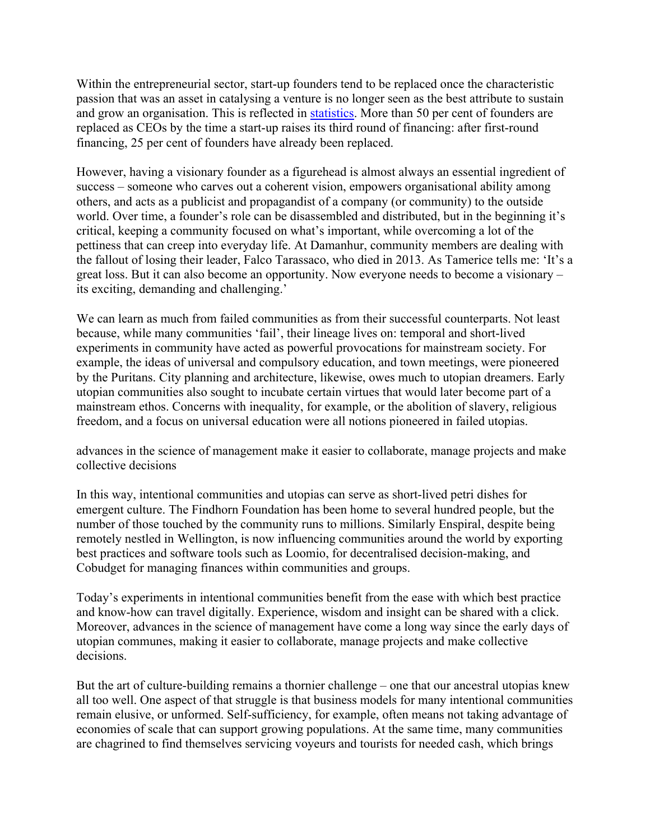Within the entrepreneurial sector, start-up founders tend to be replaced once the characteristic passion that was an asset in catalysing a venture is no longer seen as the best attribute to sustain and grow an organisation. This is reflected in [statistics.](http://www.kauffman.org/~/media/kauffman_org/resources/books/founders_dilemmas_surprising_facts) More than 50 per cent of founders are replaced as CEOs by the time a start-up raises its third round of financing: after first-round financing, 25 per cent of founders have already been replaced.

However, having a visionary founder as a figurehead is almost always an essential ingredient of success – someone who carves out a coherent vision, empowers organisational ability among others, and acts as a publicist and propagandist of a company (or community) to the outside world. Over time, a founder's role can be disassembled and distributed, but in the beginning it's critical, keeping a community focused on what's important, while overcoming a lot of the pettiness that can creep into everyday life. At Damanhur, community members are dealing with the fallout of losing their leader, Falco Tarassaco, who died in 2013. As Tamerice tells me: 'It's a great loss. But it can also become an opportunity. Now everyone needs to become a visionary – its exciting, demanding and challenging.'

We can learn as much from failed communities as from their successful counterparts. Not least because, while many communities 'fail', their lineage lives on: temporal and short-lived experiments in community have acted as powerful provocations for mainstream society. For example, the ideas of universal and compulsory education, and town meetings, were pioneered by the Puritans. City planning and architecture, likewise, owes much to utopian dreamers. Early utopian communities also sought to incubate certain virtues that would later become part of a mainstream ethos. Concerns with inequality, for example, or the abolition of slavery, religious freedom, and a focus on universal education were all notions pioneered in failed utopias.

advances in the science of management make it easier to collaborate, manage projects and make collective decisions

In this way, intentional communities and utopias can serve as short-lived petri dishes for emergent culture. The Findhorn Foundation has been home to several hundred people, but the number of those touched by the community runs to millions. Similarly Enspiral, despite being remotely nestled in Wellington, is now influencing communities around the world by exporting best practices and software tools such as Loomio, for decentralised decision-making, and Cobudget for managing finances within communities and groups.

Today's experiments in intentional communities benefit from the ease with which best practice and know-how can travel digitally. Experience, wisdom and insight can be shared with a click. Moreover, advances in the science of management have come a long way since the early days of utopian communes, making it easier to collaborate, manage projects and make collective decisions.

But the art of culture-building remains a thornier challenge – one that our ancestral utopias knew all too well. One aspect of that struggle is that business models for many intentional communities remain elusive, or unformed. Self-sufficiency, for example, often means not taking advantage of economies of scale that can support growing populations. At the same time, many communities are chagrined to find themselves servicing voyeurs and tourists for needed cash, which brings